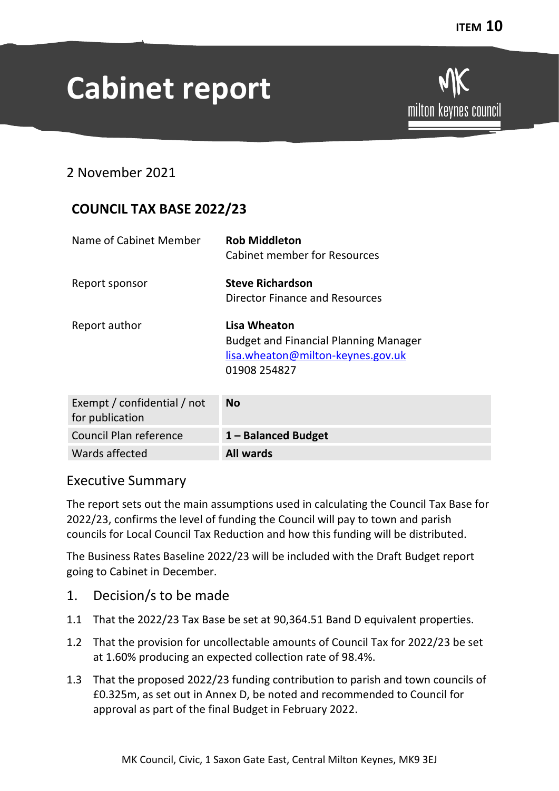# **Cabinet report**

# 2 November 2021

# **COUNCIL TAX BASE 2022/23**

| Name of Cabinet Member | <b>Rob Middleton</b><br><b>Cabinet member for Resources</b>                                                       |
|------------------------|-------------------------------------------------------------------------------------------------------------------|
| Report sponsor         | <b>Steve Richardson</b><br><b>Director Finance and Resources</b>                                                  |
| Report author          | Lisa Wheaton<br><b>Budget and Financial Planning Manager</b><br>lisa.wheaton@milton-keynes.gov.uk<br>01908 254827 |
| — <i>II</i> CI III     |                                                                                                                   |

| Exempt / confidential / not | <b>No</b>           |
|-----------------------------|---------------------|
| for publication             |                     |
| Council Plan reference      | 1 - Balanced Budget |
| Wards affected              | <b>All wards</b>    |

## Executive Summary

The report sets out the main assumptions used in calculating the Council Tax Base for 2022/23, confirms the level of funding the Council will pay to town and parish councils for Local Council Tax Reduction and how this funding will be distributed.

The Business Rates Baseline 2022/23 will be included with the Draft Budget report going to Cabinet in December.

- 1. Decision/s to be made
- 1.1 That the 2022/23 Tax Base be set at 90,364.51 Band D equivalent properties.
- 1.2 That the provision for uncollectable amounts of Council Tax for 2022/23 be set at 1.60% producing an expected collection rate of 98.4%.
- 1.3 That the proposed 2022/23 funding contribution to parish and town councils of £0.325m, as set out in Annex D, be noted and recommended to Council for approval as part of the final Budget in February 2022.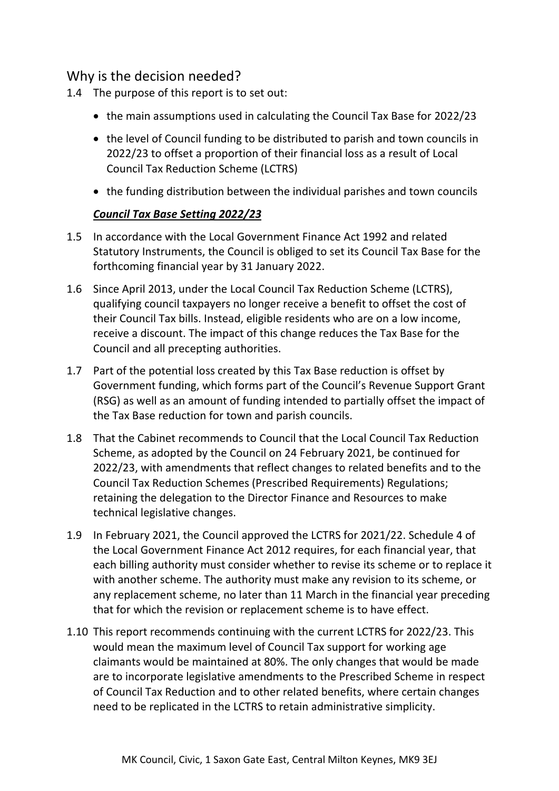# Why is the decision needed?

- 1.4 The purpose of this report is to set out:
	- the main assumptions used in calculating the Council Tax Base for 2022/23
	- the level of Council funding to be distributed to parish and town councils in 2022/23 to offset a proportion of their financial loss as a result of Local Council Tax Reduction Scheme (LCTRS)
	- the funding distribution between the individual parishes and town councils

#### *Council Tax Base Setting 2022/23*

- 1.5 In accordance with the Local Government Finance Act 1992 and related Statutory Instruments, the Council is obliged to set its Council Tax Base for the forthcoming financial year by 31 January 2022.
- 1.6 Since April 2013, under the Local Council Tax Reduction Scheme (LCTRS), qualifying council taxpayers no longer receive a benefit to offset the cost of their Council Tax bills. Instead, eligible residents who are on a low income, receive a discount. The impact of this change reduces the Tax Base for the Council and all precepting authorities.
- 1.7 Part of the potential loss created by this Tax Base reduction is offset by Government funding, which forms part of the Council's Revenue Support Grant (RSG) as well as an amount of funding intended to partially offset the impact of the Tax Base reduction for town and parish councils.
- 1.8 That the Cabinet recommends to Council that the Local Council Tax Reduction Scheme, as adopted by the Council on 24 February 2021, be continued for 2022/23, with amendments that reflect changes to related benefits and to the Council Tax Reduction Schemes (Prescribed Requirements) Regulations; retaining the delegation to the Director Finance and Resources to make technical legislative changes.
- 1.9 In February 2021, the Council approved the LCTRS for 2021/22. Schedule 4 of the Local Government Finance Act 2012 requires, for each financial year, that each billing authority must consider whether to revise its scheme or to replace it with another scheme. The authority must make any revision to its scheme, or any replacement scheme, no later than 11 March in the financial year preceding that for which the revision or replacement scheme is to have effect.
- 1.10 This report recommends continuing with the current LCTRS for 2022/23. This would mean the maximum level of Council Tax support for working age claimants would be maintained at 80%. The only changes that would be made are to incorporate legislative amendments to the Prescribed Scheme in respect of Council Tax Reduction and to other related benefits, where certain changes need to be replicated in the LCTRS to retain administrative simplicity.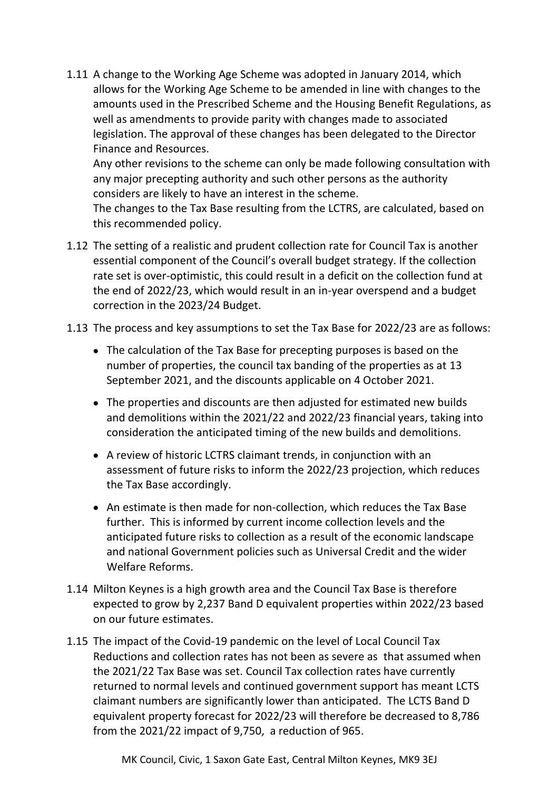1.11 A change to the Working Age Scheme was adopted in January 2014, which allows for the Working Age Scheme to be amended in line with changes to the amounts used in the Prescribed Scheme and the Housing Benefit Regulations, as well as amendments to provide parity with changes made to associated legislation. The approval of these changes has been delegated to the Director Finance and Resources.

Any other revisions to the scheme can only be made following consultation with any major precepting authority and such other persons as the authority considers are likely to have an interest in the scheme.

The changes to the Tax Base resulting from the LCTRS, are calculated, based on this recommended policy.

- 1.12 The setting of a realistic and prudent collection rate for Council Tax is another essential component of the Council's overall budget strategy. If the collection rate set is over-optimistic, this could result in a deficit on the collection fund at the end of 2022/23, which would result in an in-year overspend and a budget correction in the 2023/24 Budget.
- 1.13 The process and key assumptions to set the Tax Base for 2022/23 are as follows:
	- The calculation of the Tax Base for precepting purposes is based on the number of properties, the council tax banding of the properties as at 13 September 2021, and the discounts applicable on 4 October 2021.
	- The properties and discounts are then adjusted for estimated new builds and demolitions within the 2021/22 and 2022/23 financial years, taking into consideration the anticipated timing of the new builds and demolitions.
	- A review of historic LCTRS claimant trends, in conjunction with an assessment of future risks to inform the 2022/23 projection, which reduces the Tax Base accordingly.
	- An estimate is then made for non-collection, which reduces the Tax Base further. This is informed by current income collection levels and the anticipated future risks to collection as a result of the economic landscape and national Government policies such as Universal Credit and the wider Welfare Reforms.
- 1.14 Milton Keynes is a high growth area and the Council Tax Base is therefore expected to grow by 2,237 Band D equivalent properties within 2022/23 based on our future estimates.
- 1.15 The impact of the Covid-19 pandemic on the level of Local Council Tax Reductions and collection rates has not been as severe as that assumed when the 2021/22 Tax Base was set. Council Tax collection rates have currently returned to normal levels and continued government support has meant LCTS claimant numbers are significantly lower than anticipated. The LCTS Band D equivalent property forecast for 2022/23 will therefore be decreased to 8,786 from the 2021/22 impact of 9,750, a reduction of 965.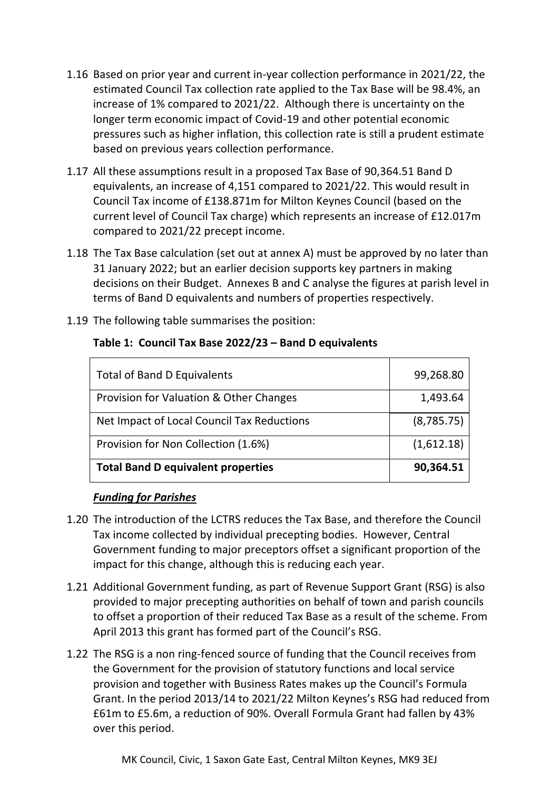- 1.16 Based on prior year and current in-year collection performance in 2021/22, the estimated Council Tax collection rate applied to the Tax Base will be 98.4%, an increase of 1% compared to 2021/22. Although there is uncertainty on the longer term economic impact of Covid-19 and other potential economic pressures such as higher inflation, this collection rate is still a prudent estimate based on previous years collection performance.
- 1.17 All these assumptions result in a proposed Tax Base of 90,364.51 Band D equivalents, an increase of 4,151 compared to 2021/22. This would result in Council Tax income of £138.871m for Milton Keynes Council (based on the current level of Council Tax charge) which represents an increase of £12.017m compared to 2021/22 precept income.
- 1.18 The Tax Base calculation (set out at annex A) must be approved by no later than 31 January 2022; but an earlier decision supports key partners in making decisions on their Budget. Annexes B and C analyse the figures at parish level in terms of Band D equivalents and numbers of properties respectively.
- 1.19 The following table summarises the position:

| <b>Total of Band D Equivalents</b>         | 99,268.80  |
|--------------------------------------------|------------|
| Provision for Valuation & Other Changes    | 1,493.64   |
| Net Impact of Local Council Tax Reductions | (8,785.75) |
| Provision for Non Collection (1.6%)        | (1,612.18) |
| <b>Total Band D equivalent properties</b>  | 90,364.51  |

#### **Table 1: Council Tax Base 2022/23 – Band D equivalents**

#### *Funding for Parishes*

- 1.20 The introduction of the LCTRS reduces the Tax Base, and therefore the Council Tax income collected by individual precepting bodies. However, Central Government funding to major preceptors offset a significant proportion of the impact for this change, although this is reducing each year.
- 1.21 Additional Government funding, as part of Revenue Support Grant (RSG) is also provided to major precepting authorities on behalf of town and parish councils to offset a proportion of their reduced Tax Base as a result of the scheme. From April 2013 this grant has formed part of the Council's RSG.
- 1.22 The RSG is a non ring-fenced source of funding that the Council receives from the Government for the provision of statutory functions and local service provision and together with Business Rates makes up the Council's Formula Grant. In the period 2013/14 to 2021/22 Milton Keynes's RSG had reduced from £61m to £5.6m, a reduction of 90%. Overall Formula Grant had fallen by 43% over this period.